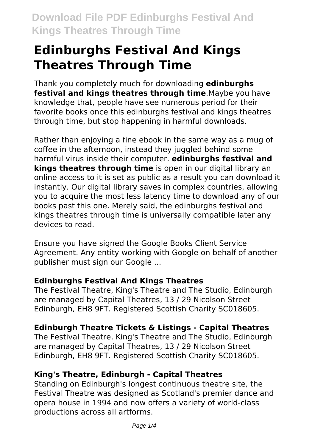# **Edinburghs Festival And Kings Theatres Through Time**

Thank you completely much for downloading **edinburghs festival and kings theatres through time**.Maybe you have knowledge that, people have see numerous period for their favorite books once this edinburghs festival and kings theatres through time, but stop happening in harmful downloads.

Rather than enjoying a fine ebook in the same way as a mug of coffee in the afternoon, instead they juggled behind some harmful virus inside their computer. **edinburghs festival and kings theatres through time** is open in our digital library an online access to it is set as public as a result you can download it instantly. Our digital library saves in complex countries, allowing you to acquire the most less latency time to download any of our books past this one. Merely said, the edinburghs festival and kings theatres through time is universally compatible later any devices to read.

Ensure you have signed the Google Books Client Service Agreement. Any entity working with Google on behalf of another publisher must sign our Google ...

# **Edinburghs Festival And Kings Theatres**

The Festival Theatre, King's Theatre and The Studio, Edinburgh are managed by Capital Theatres, 13 / 29 Nicolson Street Edinburgh, EH8 9FT. Registered Scottish Charity SC018605.

# **Edinburgh Theatre Tickets & Listings - Capital Theatres**

The Festival Theatre, King's Theatre and The Studio, Edinburgh are managed by Capital Theatres, 13 / 29 Nicolson Street Edinburgh, EH8 9FT. Registered Scottish Charity SC018605.

# **King's Theatre, Edinburgh - Capital Theatres**

Standing on Edinburgh's longest continuous theatre site, the Festival Theatre was designed as Scotland's premier dance and opera house in 1994 and now offers a variety of world-class productions across all artforms.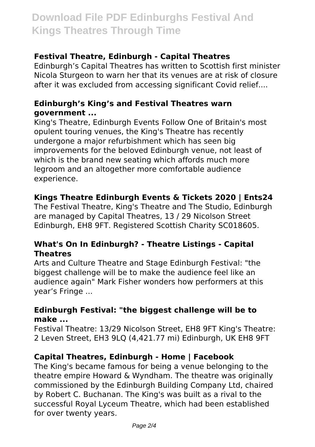# **Download File PDF Edinburghs Festival And Kings Theatres Through Time**

#### **Festival Theatre, Edinburgh - Capital Theatres**

Edinburgh's Capital Theatres has written to Scottish first minister Nicola Sturgeon to warn her that its venues are at risk of closure after it was excluded from accessing significant Covid relief....

#### **Edinburgh's King's and Festival Theatres warn government ...**

King's Theatre, Edinburgh Events Follow One of Britain's most opulent touring venues, the King's Theatre has recently undergone a major refurbishment which has seen big improvements for the beloved Edinburgh venue, not least of which is the brand new seating which affords much more legroom and an altogether more comfortable audience experience.

### **Kings Theatre Edinburgh Events & Tickets 2020 | Ents24**

The Festival Theatre, King's Theatre and The Studio, Edinburgh are managed by Capital Theatres, 13 / 29 Nicolson Street Edinburgh, EH8 9FT. Registered Scottish Charity SC018605.

#### **What's On In Edinburgh? - Theatre Listings - Capital Theatres**

Arts and Culture Theatre and Stage Edinburgh Festival: "the biggest challenge will be to make the audience feel like an audience again" Mark Fisher wonders how performers at this year's Fringe ...

#### **Edinburgh Festival: "the biggest challenge will be to make ...**

Festival Theatre: 13/29 Nicolson Street, EH8 9FT King's Theatre: 2 Leven Street, EH3 9LQ (4,421.77 mi) Edinburgh, UK EH8 9FT

#### **Capital Theatres, Edinburgh - Home | Facebook**

The King's became famous for being a venue belonging to the theatre empire Howard & Wyndham. The theatre was originally commissioned by the Edinburgh Building Company Ltd, chaired by Robert C. Buchanan. The King's was built as a rival to the successful Royal Lyceum Theatre, which had been established for over twenty years.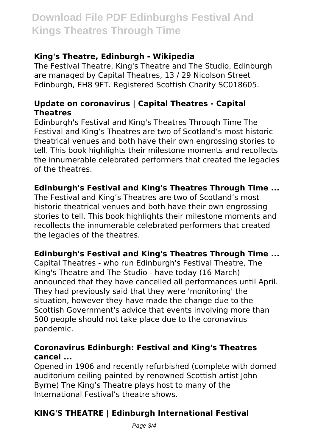# **Download File PDF Edinburghs Festival And Kings Theatres Through Time**

## **King's Theatre, Edinburgh - Wikipedia**

The Festival Theatre, King's Theatre and The Studio, Edinburgh are managed by Capital Theatres, 13 / 29 Nicolson Street Edinburgh, EH8 9FT. Registered Scottish Charity SC018605.

### **Update on coronavirus | Capital Theatres - Capital Theatres**

Edinburgh's Festival and King's Theatres Through Time The Festival and King's Theatres are two of Scotland's most historic theatrical venues and both have their own engrossing stories to tell. This book highlights their milestone moments and recollects the innumerable celebrated performers that created the legacies of the theatres.

## **Edinburgh's Festival and King's Theatres Through Time ...**

The Festival and King's Theatres are two of Scotland's most historic theatrical venues and both have their own engrossing stories to tell. This book highlights their milestone moments and recollects the innumerable celebrated performers that created the legacies of the theatres.

# **Edinburgh's Festival and King's Theatres Through Time ...**

Capital Theatres - who run Edinburgh's Festival Theatre, The King's Theatre and The Studio - have today (16 March) announced that they have cancelled all performances until April. They had previously said that they were 'monitoring' the situation, however they have made the change due to the Scottish Government's advice that events involving more than 500 people should not take place due to the coronavirus pandemic.

#### **Coronavirus Edinburgh: Festival and King's Theatres cancel ...**

Opened in 1906 and recently refurbished (complete with domed auditorium ceiling painted by renowned Scottish artist John Byrne) The King's Theatre plays host to many of the International Festival's theatre shows.

# **KING'S THEATRE | Edinburgh International Festival**